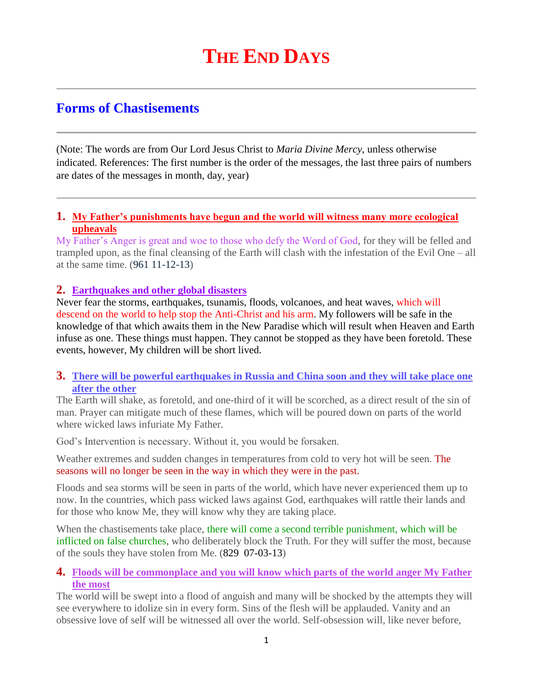# **Forms of Chastisements**

(Note: The words are from Our Lord Jesus Christ to *Maria Divine Mercy*, unless otherwise indicated. References: The first number is the order of the messages, the last three pairs of numbers are dates of the messages in month, day, year)

### **1. [My Father's punishments have begun and the world will witness many more ecological](http://www.thewarningsecondcoming.com/my-fathers-punishments-have-begun-and-the-world-will-witness-many-more-ecological-upheavals/)  [upheavals](http://www.thewarningsecondcoming.com/my-fathers-punishments-have-begun-and-the-world-will-witness-many-more-ecological-upheavals/)**

My Father's Anger is great and woe to those who defy the Word of God, for they will be felled and trampled upon, as the final cleansing of the Earth will clash with the infestation of the Evil One – all at the same time. (961 11-12-13)

### **2. Earthquakes and other global disasters**

Never fear the storms, earthquakes, tsunamis, floods, volcanoes, and heat waves, which will descend on the world to help stop the Anti-Christ and his arm. My followers will be safe in the knowledge of that which awaits them in the New Paradise which will result when Heaven and Earth infuse as one. These things must happen. They cannot be stopped as they have been foretold. These events, however, My children will be short lived.

### **3. [There will be powerful earthquakes in Russia and China soon and they will take place one](http://www.thewarningsecondcoming.com/there-will-be-powerful-earthquakes-in-russia-and-china-soon-and-they-will-take-place-one-after-the-other/)  [after the other](http://www.thewarningsecondcoming.com/there-will-be-powerful-earthquakes-in-russia-and-china-soon-and-they-will-take-place-one-after-the-other/)**

The Earth will shake, as foretold, and one-third of it will be scorched, as a direct result of the sin of man. Prayer can mitigate much of these flames, which will be poured down on parts of the world where wicked laws infuriate My Father.

God's Intervention is necessary. Without it, you would be forsaken.

Weather extremes and sudden changes in temperatures from cold to very hot will be seen. The seasons will no longer be seen in the way in which they were in the past.

Floods and sea storms will be seen in parts of the world, which have never experienced them up to now. In the countries, which pass wicked laws against God, earthquakes will rattle their lands and for those who know Me, they will know why they are taking place.

When the chastisements take place, there will come a second terrible punishment, which will be inflicted on false churches, who deliberately block the Truth. For they will suffer the most, because of the souls they have stolen from Me. (829 07-03-13)

### **4. [Floods will be commonplace and you will know which parts of the world anger My Father](http://www.thewarningsecondcoming.com/floods-will-be-commonplace-and-you-will-know-which-parts-of-the-world-anger-my-father-the-most/)  [the most](http://www.thewarningsecondcoming.com/floods-will-be-commonplace-and-you-will-know-which-parts-of-the-world-anger-my-father-the-most/)**

The world will be swept into a flood of anguish and many will be shocked by the attempts they will see everywhere to idolize sin in every form. Sins of the flesh will be applauded. Vanity and an obsessive love of self will be witnessed all over the world. Self-obsession will, like never before,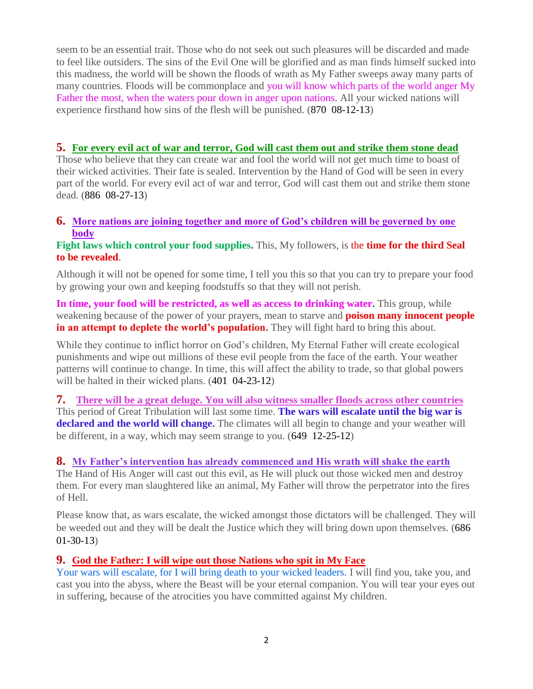seem to be an essential trait. Those who do not seek out such pleasures will be discarded and made to feel like outsiders. The sins of the Evil One will be glorified and as man finds himself sucked into this madness, the world will be shown the floods of wrath as My Father sweeps away many parts of many countries. Floods will be commonplace and you will know which parts of the world anger My Father the most, when the waters pour down in anger upon nations. All your wicked nations will experience firsthand how sins of the flesh will be punished. (870 08-12-13)

### **5. [For every evil act of war and terror, God will cast them out and strike them stone dead](http://www.thewarningsecondcoming.com/for-every-evil-act-of-war-and-terror-god-will-cast-them-out-and-strike-them-stone-dead/)**

Those who believe that they can create war and fool the world will not get much time to boast of their wicked activities. Their fate is sealed. Intervention by the Hand of God will be seen in every part of the world. For every evil act of war and terror, God will cast them out and strike them stone dead. (886 08-27-13)

### **6. [More nations are joining together and more of God's children will be governed by one](http://www.thewarningsecondcoming.com/more-nations-are-joining-together-and-more-of-gods-children-will-be-governed-by-one-body/)  [body](http://www.thewarningsecondcoming.com/more-nations-are-joining-together-and-more-of-gods-children-will-be-governed-by-one-body/)**

### **Fight laws which control your food supplies.** This, My followers, is the **time for the third Seal to be revealed**.

Although it will not be opened for some time, I tell you this so that you can try to prepare your food by growing your own and keeping foodstuffs so that they will not perish.

In time, your food will be restricted, as well as access to drinking water. This group, while weakening because of the power of your prayers, mean to starve and **poison many innocent people in an attempt to deplete the world's population.** They will fight hard to bring this about.

While they continue to inflict horror on God's children, My Eternal Father will create ecological punishments and wipe out millions of these evil people from the face of the earth. Your weather patterns will continue to change. In time, this will affect the ability to trade, so that global powers will be halted in their wicked plans.  $(401 \t 04-23-12)$ 

**7. [There will be a great deluge. You will also witness smaller floods across other countries](http://www.thewarningsecondcoming.com/there-will-be-a-great-deluge-you-will-also-witness-smaller-floods-across-all-countries/)** This period of Great Tribulation will last some time. **The wars will escalate until the big war is declared and the world will change.** The climates will all begin to change and your weather will be different, in a way, which may seem strange to you. (649 12-25-12)

### **8. [My Father's intervention has already commenced and His wrath will shake the earth](http://www.thewarningsecondcoming.com/my-fathers-intervention-has-already-commenc)**

The Hand of His Anger will cast out this evil, as He will pluck out those wicked men and destroy them. For every man slaughtered like an animal, My Father will throw the perpetrator into the fires of Hell.

Please know that, as wars escalate, the wicked amongst those dictators will be challenged. They will be weeded out and they will be dealt the Justice which they will bring down upon themselves. (686 01-30-13)

# **9. [God the Father: I will wipe out those Nations who spit in My Face](http://www.thewarningsecondcoming.com/god-the-father-i-will-wipe-out-those-nation)**

Your wars will escalate, for I will bring death to your wicked leaders. I will find you, take you, and cast you into the abyss, where the Beast will be your eternal companion. You will tear your eyes out in suffering, because of the atrocities you have committed against My children.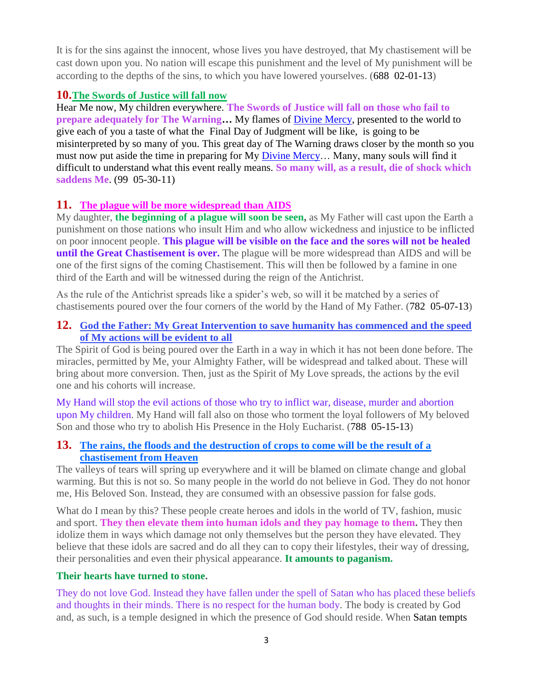It is for the sins against the innocent, whose lives you have destroyed, that My chastisement will be cast down upon you. No nation will escape this punishment and the level of My punishment will be according to the depths of the sins, to which you have lowered yourselves. (688 02-01-13)

# **10.[The Swords of Justice will fall now](http://www.thewarningsecondcoming.com/the-swords-of-justice-will-fall-now/)**

Hear Me now, My children everywhere. **The Swords of Justice will fall on those who fail to prepare adequately for The Warning…** My flames of [Divine Mercy,](http://www.thewarningsecondcoming.com/divine-mercy-chaplet/) presented to the world to give each of you a taste of what the Final Day of Judgment will be like, is going to be misinterpreted by so many of you. This great day of The Warning draws closer by the month so you must now put aside the time in preparing for My Divine Mercy... Many, many souls will find it difficult to understand what this event really means. **So many will, as a result, die of shock which saddens Me**. (99 05-30-11)

# **11. [The plague will be more widespread than AIDS](http://www.thewarningsecondcoming.com/the-plague-will-be-more-widespread-than-aids/)**

My daughter, **the beginning of a plague will soon be seen,** as My Father will cast upon the Earth a punishment on those nations who insult Him and who allow wickedness and injustice to be inflicted on poor innocent people. **This plague will be visible on the face and the sores will not be healed until the Great Chastisement is over.** The plague will be more widespread than AIDS and will be one of the first signs of the coming Chastisement. This will then be followed by a famine in one third of the Earth and will be witnessed during the reign of the Antichrist.

As the rule of the Antichrist spreads like a spider's web, so will it be matched by a series of chastisements poured over the four corners of the world by the Hand of My Father. (782 05-07-13)

# **12. [God the Father: My Great Intervention to save humanity has commenced and the speed](http://www.thewarningsecondcoming.com/god-the-father-my-great-intervention-to-save-humanity-has-commenced-and-the-speed-of-my-actions-will-be-evident-to-all/)  [of My actions will be evident to all](http://www.thewarningsecondcoming.com/god-the-father-my-great-intervention-to-save-humanity-has-commenced-and-the-speed-of-my-actions-will-be-evident-to-all/)**

The Spirit of God is being poured over the Earth in a way in which it has not been done before. The miracles, permitted by Me, your Almighty Father, will be widespread and talked about. These will bring about more conversion. Then, just as the Spirit of My Love spreads, the actions by the evil one and his cohorts will increase.

My Hand will stop the evil actions of those who try to inflict war, disease, murder and abortion upon My children. My Hand will fall also on those who torment the loyal followers of My beloved Son and those who try to abolish His Presence in the Holy Eucharist. (788 05-15-13)

# **13. [The rains, the floods and the destruction of crops to come will be the result of a](http://www.thewarningsecondcoming.com/the-rains-the-floods-and-the-destruction-of-crops-to-come-will-be-the-result-of-a-chastisement-from-heaven/)  [chastisement from Heaven](http://www.thewarningsecondcoming.com/the-rains-the-floods-and-the-destruction-of-crops-to-come-will-be-the-result-of-a-chastisement-from-heaven/)**

The valleys of tears will spring up everywhere and it will be blamed on climate change and global warming. But this is not so. So many people in the world do not believe in God. They do not honor me, His Beloved Son. Instead, they are consumed with an obsessive passion for false gods.

What do I mean by this? These people create heroes and idols in the world of TV, fashion, music and sport. **They then elevate them into human idols and they pay homage to them.** They then idolize them in ways which damage not only themselves but the person they have elevated. They believe that these idols are sacred and do all they can to copy their lifestyles, their way of dressing, their personalities and even their physical appearance. **It amounts to paganism.**

# **Their hearts have turned to stone.**

They do not love God. Instead they have fallen under the spell of Satan who has placed these beliefs and thoughts in their minds. There is no respect for the human body. The body is created by God and, as such, is a temple designed in which the presence of God should reside. When Satan tempts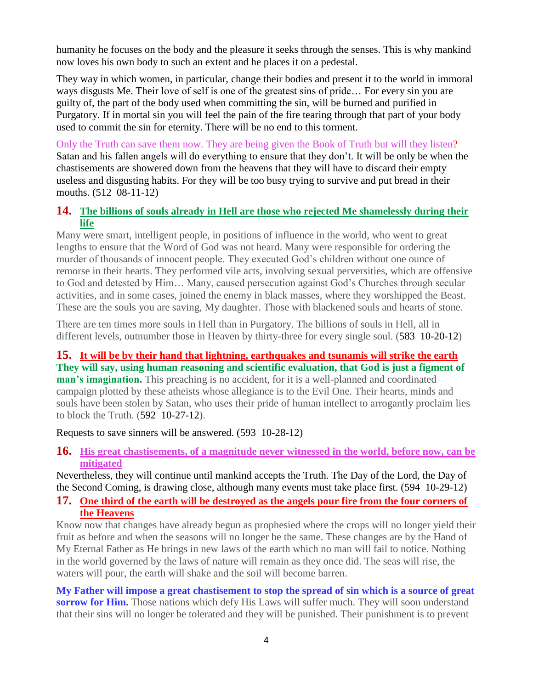humanity he focuses on the body and the pleasure it seeks through the senses. This is why mankind now loves his own body to such an extent and he places it on a pedestal.

They way in which women, in particular, change their bodies and present it to the world in immoral ways disgusts Me. Their love of self is one of the greatest sins of pride… For every sin you are guilty of, the part of the body used when committing the sin, will be burned and purified in Purgatory. If in mortal sin you will feel the pain of the fire tearing through that part of your body used to commit the sin for eternity. There will be no end to this torment.

Only the Truth can save them now. They are being given the Book of Truth but will they listen? Satan and his fallen angels will do everything to ensure that they don't. It will be only be when the chastisements are showered down from the heavens that they will have to discard their empty useless and disgusting habits. For they will be too busy trying to survive and put bread in their mouths. (512 08-11-12)

## **14. [The billions of souls already in Hell are those who rejected Me shamelessly during their](http://www.thewarningsecondcoming.com/the-billions-of-souls-already-in-hell-are-those-who-rejected-me-shamelessly-during-their-life/)  [life](http://www.thewarningsecondcoming.com/the-billions-of-souls-already-in-hell-are-those-who-rejected-me-shamelessly-during-their-life/)**

Many were smart, intelligent people, in positions of influence in the world, who went to great lengths to ensure that the Word of God was not heard. Many were responsible for ordering the murder of thousands of innocent people. They executed God's children without one ounce of remorse in their hearts. They performed vile acts, involving sexual perversities, which are offensive to God and detested by Him… Many, caused persecution against God's Churches through secular activities, and in some cases, joined the enemy in black masses, where they worshipped the Beast. These are the souls you are saving, My daughter. Those with blackened souls and hearts of stone.

There are ten times more souls in Hell than in Purgatory. The billions of souls in Hell, all in different levels, outnumber those in Heaven by thirty-three for every single soul. (583 10-20-12)

**15. [It will be by their hand that lightning, earthquakes and tsunamis will strike the earth](http://www.thewarningsecondcoming.com/it-will-be-by-their-hand-that-lightening-earthquakes-and-tsunamis-will-strike-the-earth/) They will say, using human reasoning and scientific evaluation, that God is just a figment of man's imagination.** This preaching is no accident, for it is a well-planned and coordinated campaign plotted by these atheists whose allegiance is to the Evil One. Their hearts, minds and souls have been stolen by Satan, who uses their pride of human intellect to arrogantly proclaim lies to block the Truth. (592 10-27-12).

Requests to save sinners will be answered. (593 10-28-12)

**16. [His great chastisements, of a magnitude never witnessed in the world, before now, can be](http://www.thewarningsecondcoming.com/his-great-chastisements-of-a-magnitude-never-witnessed-in-the-world-before-now-can-be-mitigated/)  [mitigated](http://www.thewarningsecondcoming.com/his-great-chastisements-of-a-magnitude-never-witnessed-in-the-world-before-now-can-be-mitigated/)**

Nevertheless, they will continue until mankind accepts the Truth. The Day of the Lord, the Day of the Second Coming, is drawing close, although many events must take place first. (594 10-29-12)

### **17. [One third of the earth will be destroyed as the angels pour fire from the four corners of](http://www.thewarningsecondcoming.com/one-third-of-the-earth-will-be-destroyed-as-the-angels-pour-fire-from-the-four-corners-of-the-heavens/)  [the Heavens](http://www.thewarningsecondcoming.com/one-third-of-the-earth-will-be-destroyed-as-the-angels-pour-fire-from-the-four-corners-of-the-heavens/)**

Know now that changes have already begun as prophesied where the crops will no longer yield their fruit as before and when the seasons will no longer be the same. These changes are by the Hand of My Eternal Father as He brings in new laws of the earth which no man will fail to notice. Nothing in the world governed by the laws of nature will remain as they once did. The seas will rise, the waters will pour, the earth will shake and the soil will become barren.

**My Father will impose a great chastisement to stop the spread of sin which is a source of great sorrow for Him.** Those nations which defy His Laws will suffer much. They will soon understand that their sins will no longer be tolerated and they will be punished. Their punishment is to prevent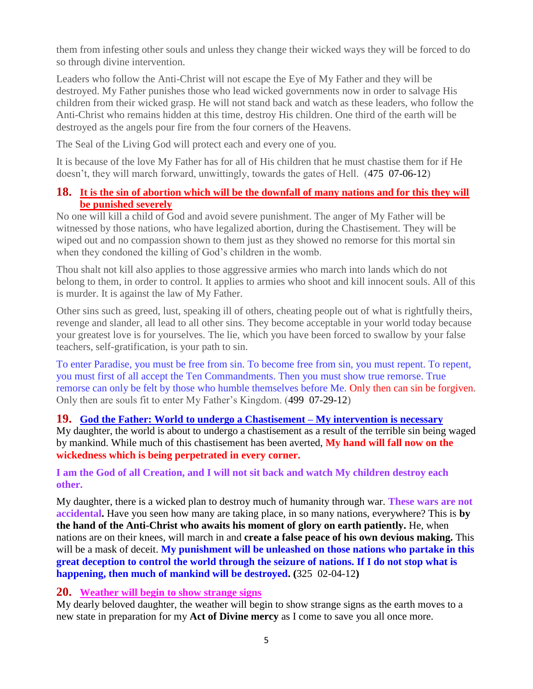them from infesting other souls and unless they change their wicked ways they will be forced to do so through divine intervention.

Leaders who follow the Anti-Christ will not escape the Eye of My Father and they will be destroyed. My Father punishes those who lead wicked governments now in order to salvage His children from their wicked grasp. He will not stand back and watch as these leaders, who follow the Anti-Christ who remains hidden at this time, destroy His children. One third of the earth will be destroyed as the angels pour fire from the four corners of the Heavens.

The Seal of the Living God will protect each and every one of you.

It is because of the love My Father has for all of His children that he must chastise them for if He doesn't, they will march forward, unwittingly, towards the gates of Hell. (475 07-06-12)

### **18. [It is the sin of abortion which will be the downfall of many nations and for this they will](http://www.thewarningsecondcoming.com/it-is-the-sin-of-abortion-which-will-be-the-downfall-of-many-nations-and-for-this-they-will-be-punished-severely/)  [be punished severely](http://www.thewarningsecondcoming.com/it-is-the-sin-of-abortion-which-will-be-the-downfall-of-many-nations-and-for-this-they-will-be-punished-severely/)**

No one will kill a child of God and avoid severe punishment. The anger of My Father will be witnessed by those nations, who have legalized abortion, during the Chastisement. They will be wiped out and no compassion shown to them just as they showed no remorse for this mortal sin when they condoned the killing of God's children in the womb.

Thou shalt not kill also applies to those aggressive armies who march into lands which do not belong to them, in order to control. It applies to armies who shoot and kill innocent souls. All of this is murder. It is against the law of My Father.

Other sins such as greed, lust, speaking ill of others, cheating people out of what is rightfully theirs, revenge and slander, all lead to all other sins. They become acceptable in your world today because your greatest love is for yourselves. The lie, which you have been forced to swallow by your false teachers, self-gratification, is your path to sin.

To enter Paradise, you must be free from sin. To become free from sin, you must repent. To repent, you must first of all accept the Ten Commandments. Then you must show true remorse. True remorse can only be felt by those who humble themselves before Me. Only then can sin be forgiven. Only then are souls fit to enter My Father's Kingdom. (499 07-29-12)

**19. [God the Father: World to undergo a Chastisement –](http://www.thewarningsecondcoming.com/god-the-father-world-to-undergo-a-chastisement-my-intervention-is-necessary/) My intervention is necessary** My daughter, the world is about to undergo a chastisement as a result of the terrible sin being waged by mankind. While much of this chastisement has been averted, **My hand will fall now on the wickedness which is being perpetrated in every corner.**

**I am the God of all Creation, and I will not sit back and watch My children destroy each other.**

My daughter, there is a wicked plan to destroy much of humanity through war. **These wars are not accidental.** Have you seen how many are taking place, in so many nations, everywhere? This is **by the hand of the Anti-Christ who awaits his moment of glory on earth patiently.** He, when nations are on their knees, will march in and **create a false peace of his own devious making.** This will be a mask of deceit. **My punishment will be unleashed on those nations who partake in this great deception to control the world through the seizure of nations. If I do not stop what is happening, then much of mankind will be destroyed. (**325 02-04-12**)**

### **20. [Weather will begin to show strange signs](http://www.thewarningsecondcoming.com/weather-will-begin-to-show-strange-signs/)**

My dearly beloved daughter, the weather will begin to show strange signs as the earth moves to a new state in preparation for my **Act of Divine mercy** as I come to save you all once more.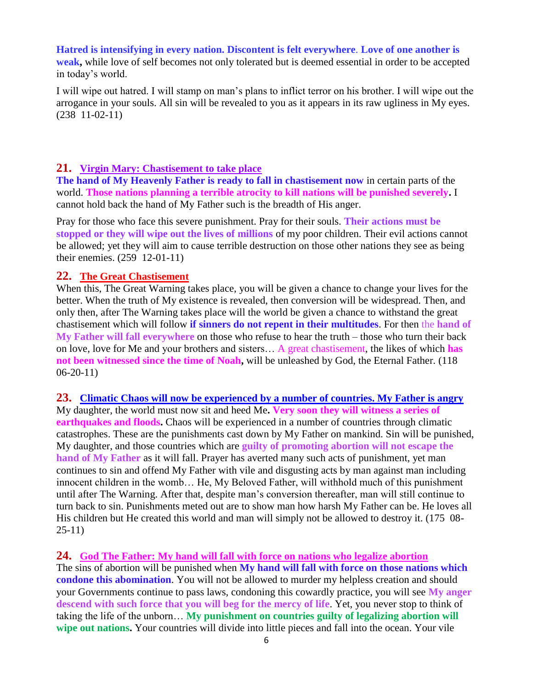#### **Hatred is intensifying in every nation. Discontent is felt everywhere**. **Love of one another is**

**weak,** while love of self becomes not only tolerated but is deemed essential in order to be accepted in today's world.

I will wipe out hatred. I will stamp on man's plans to inflict terror on his brother. I will wipe out the arrogance in your souls. All sin will be revealed to you as it appears in its raw ugliness in My eyes. (238 11-02-11)

### **21. Virgin Mary: Chastisement to take place**

**The hand of My Heavenly Father is ready to fall in chastisement now** in certain parts of the world. **Those nations planning a terrible atrocity to kill nations will be punished severely.** I cannot hold back the hand of My Father such is the breadth of His anger.

Pray for those who face this severe punishment. Pray for their souls. **Their actions must be stopped or they will wipe out the lives of millions** of my poor children. Their evil actions cannot be allowed; yet they will aim to cause terrible destruction on those other nations they see as being their enemies. (259 12-01-11)

#### **22. The Great Chastisement**

When this, The Great Warning takes place, you will be given a chance to change your lives for the better. When the truth of My existence is revealed, then conversion will be widespread. Then, and only then, after The Warning takes place will the world be given a chance to withstand the great chastisement which will follow **if sinners do not repent in their multitudes**. For then the **hand of My Father will fall everywhere** on those who refuse to hear the truth – those who turn their back on love, love for Me and your brothers and sisters… A great chastisement, the likes of which **has not been witnessed since the time of Noah,** will be unleashed by God, the Eternal Father. (118 06-20-11)

#### **23. [Climatic Chaos will now be experienced by a number of countries. My Father is angry](http://www.thewarningsecondcoming.com/climatic-chaos-will-now-be-experienced-by-a-number-of-countries-my-father-is-angry/)**

My daughter, the world must now sit and heed Me**. Very soon they will witness a series of earthquakes and floods.** Chaos will be experienced in a number of countries through climatic catastrophes. These are the punishments cast down by My Father on mankind. Sin will be punished, My daughter, and those countries which are **guilty of promoting abortion will not escape the hand of My Father** as it will fall. Prayer has averted many such acts of punishment, yet man continues to sin and offend My Father with vile and disgusting acts by man against man including innocent children in the womb… He, My Beloved Father, will withhold much of this punishment until after The Warning. After that, despite man's conversion thereafter, man will still continue to turn back to sin. Punishments meted out are to show man how harsh My Father can be. He loves all His children but He created this world and man will simply not be allowed to destroy it. (175 08-25-11)

#### **24. [God The Father: My hand will fall with force on nations who legalize abortion](http://www.thewarningsecondcoming.com/god-the-father-my-hand-will-fall-with-force-on-nations-who-legalise-abortion/)**

The sins of abortion will be punished when **My hand will fall with force on those nations which condone this abomination**. You will not be allowed to murder my helpless creation and should your Governments continue to pass laws, condoning this cowardly practice, you will see **My anger descend with such force that you will beg for the mercy of life**. Yet, you never stop to think of taking the life of the unborn… **My punishment on countries guilty of legalizing abortion will wipe out nations.** Your countries will divide into little pieces and fall into the ocean. Your vile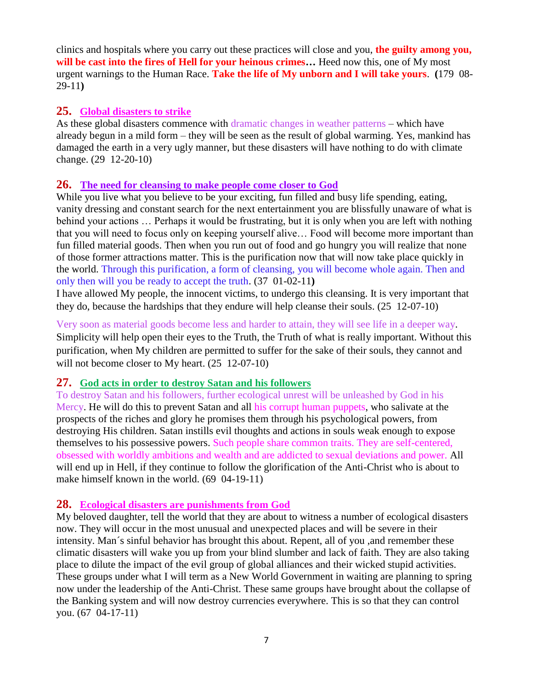clinics and hospitals where you carry out these practices will close and you, **the guilty among you, will be cast into the fires of Hell for your heinous crimes…** Heed now this, one of My most urgent warnings to the Human Race. **Take the life of My unborn and I will take yours**. **(**179 08- 29-11**)**

### **25. Global disasters to strike**

As these global disasters commence with dramatic changes in weather patterns – which have already begun in a mild form – they will be seen as the result of global warming. Yes, mankind has damaged the earth in a very ugly manner, but these disasters will have nothing to do with climate change. (29 12-20-10)

## **26. The need for cleansing to make people come closer to God**

While you live what you believe to be your exciting, fun filled and busy life spending, eating, vanity dressing and constant search for the next entertainment you are blissfully unaware of what is behind your actions … Perhaps it would be frustrating, but it is only when you are left with nothing that you will need to focus only on keeping yourself alive… Food will become more important than fun filled material goods. Then when you run out of food and go hungry you will realize that none of those former attractions matter. This is the purification now that will now take place quickly in the world. Through this purification, a form of cleansing, you will become whole again. Then and only then will you be ready to accept the truth. (37 01-02-11**)**

I have allowed My people, the innocent victims, to undergo this cleansing. It is very important that they do, because the hardships that they endure will help cleanse their souls. (25 12-07-10)

Very soon as material goods become less and harder to attain, they will see life in a deeper way. Simplicity will help open their eyes to the Truth, the Truth of what is really important. Without this purification, when My children are permitted to suffer for the sake of their souls, they cannot and will not become closer to My heart.  $(25 \t12-07-10)$ 

### **27. God acts in order to destroy Satan and his followers**

To destroy Satan and his followers, further ecological unrest will be unleashed by God in his Mercy. He will do this to prevent Satan and all his corrupt human puppets, who salivate at the prospects of the riches and glory he promises them through his psychological powers, from destroying His children. Satan instills evil thoughts and actions in souls weak enough to expose themselves to his possessive powers. Such people share common traits. They are self-centered, obsessed with worldly ambitions and wealth and are addicted to sexual deviations and power. All will end up in Hell, if they continue to follow the glorification of the Anti-Christ who is about to make himself known in the world. (69 04-19-11)

# **28. Ecological disasters are punishments from God**

My beloved daughter, tell the world that they are about to witness a number of ecological disasters now. They will occur in the most unusual and unexpected places and will be severe in their intensity. Man´s sinful behavior has brought this about. Repent, all of you ,and remember these climatic disasters will wake you up from your blind slumber and lack of faith. They are also taking place to dilute the impact of the evil group of global alliances and their wicked stupid activities. These groups under what I will term as a New World Government in waiting are planning to spring now under the leadership of the Anti-Christ. These same groups have brought about the collapse of the Banking system and will now destroy currencies everywhere. This is so that they can control you. (67 04-17-11)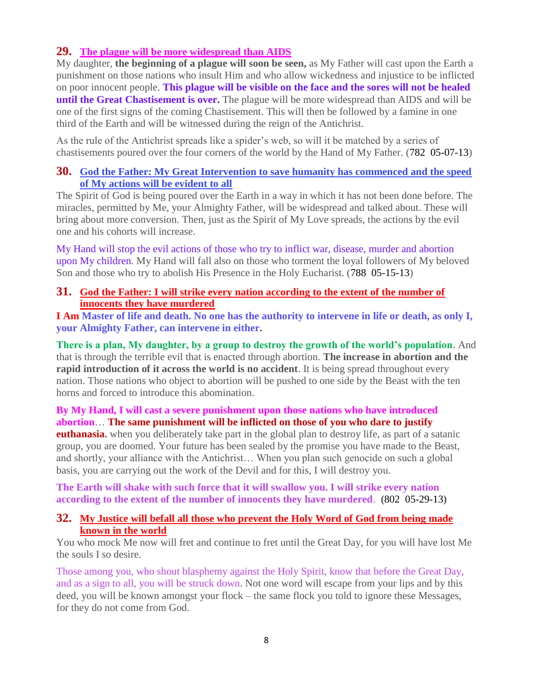## **29. [The plague will be more widespread than AIDS](http://www.thewarningsecondcoming.com/the-plague-will-be-more-widespread-than-aids/)**

My daughter, **the beginning of a plague will soon be seen,** as My Father will cast upon the Earth a punishment on those nations who insult Him and who allow wickedness and injustice to be inflicted on poor innocent people. **This plague will be visible on the face and the sores will not be healed until the Great Chastisement is over.** The plague will be more widespread than AIDS and will be one of the first signs of the coming Chastisement. This will then be followed by a famine in one third of the Earth and will be witnessed during the reign of the Antichrist.

As the rule of the Antichrist spreads like a spider's web, so will it be matched by a series of chastisements poured over the four corners of the world by the Hand of My Father. (782 05-07-13)

### **30. [God the Father: My Great Intervention to save humanity has commenced and the speed](http://www.thewarningsecondcoming.com/god-the-father-my-great-intervention-to-save-humanity-has-commenced-and-the-speed-of-my-actions-will-be-evident-to-all/)  [of My actions will be evident to all](http://www.thewarningsecondcoming.com/god-the-father-my-great-intervention-to-save-humanity-has-commenced-and-the-speed-of-my-actions-will-be-evident-to-all/)**

The Spirit of God is being poured over the Earth in a way in which it has not been done before. The miracles, permitted by Me, your Almighty Father, will be widespread and talked about. These will bring about more conversion. Then, just as the Spirit of My Love spreads, the actions by the evil one and his cohorts will increase.

My Hand will stop the evil actions of those who try to inflict war, disease, murder and abortion upon My children. My Hand will fall also on those who torment the loyal followers of My beloved Son and those who try to abolish His Presence in the Holy Eucharist. (788 05-15-13)

### **31. [God the Father: I will strike every nation according to the extent of the number of](http://www.thewarningsecondcoming.com/god-the-father-i-will-strike-every-nation-according-to-the-extent-of-the-number-of-innocents-they-have-murdered/)  [innocents they have murdered](http://www.thewarningsecondcoming.com/god-the-father-i-will-strike-every-nation-according-to-the-extent-of-the-number-of-innocents-they-have-murdered/)**

**I Am Master of life and death. No one has the authority to intervene in life or death, as only I, your Almighty Father, can intervene in either.**

**There is a plan, My daughter, by a group to destroy the growth of the world's population**. And that is through the terrible evil that is enacted through abortion. **The increase in abortion and the rapid introduction of it across the world is no accident**. It is being spread throughout every nation. Those nations who object to abortion will be pushed to one side by the Beast with the ten horns and forced to introduce this abomination.

### **By My Hand, I will cast a severe punishment upon those nations who have introduced abortion**… **The same punishment will be inflicted on those of you who dare to justify**

**euthanasia.** when you deliberately take part in the global plan to destroy life, as part of a satanic group, you are doomed. Your future has been sealed by the promise you have made to the Beast, and shortly, your alliance with the Antichrist… When you plan such genocide on such a global basis, you are carrying out the work of the Devil and for this, I will destroy you.

**The Earth will shake with such force that it will swallow you. I will strike every nation according to the extent of the number of innocents they have murdered**. **(**802 05-29-13**)**

### **32. [My Justice will befall all those who prevent the Holy Word of God from being made](http://www.thewarningsecondcoming.com/my-justice-will-befall-all-those-who-prevent-the-holy-word-of-god-from-being-made-known-in-the-world/)  [known in the world](http://www.thewarningsecondcoming.com/my-justice-will-befall-all-those-who-prevent-the-holy-word-of-god-from-being-made-known-in-the-world/)**

You who mock Me now will fret and continue to fret until the Great Day, for you will have lost Me the souls I so desire.

Those among you, who shout blasphemy against the Holy Spirit, know that before the Great Day, and as a sign to all, you will be struck down. Not one word will escape from your lips and by this deed, you will be known amongst your flock – the same flock you told to ignore these Messages, for they do not come from God.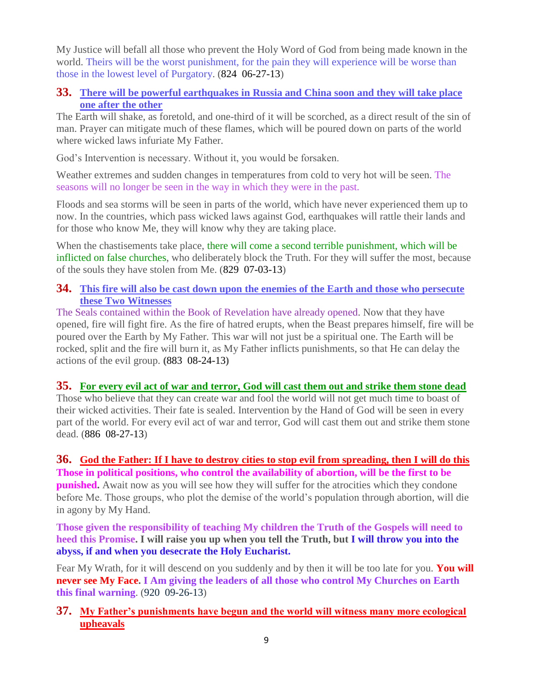My Justice will befall all those who prevent the Holy Word of God from being made known in the world. Theirs will be the worst punishment, for the pain they will experience will be worse than those in the lowest level of Purgatory. (824 06-27-13)

### **33. [There will be powerful earthquakes in Russia and China soon and they will take place](http://www.thewarningsecondcoming.com/there-will-be-powerful-earthquakes-in-russia-and-china-soon-and-they-will-take-place-one-after-the-other/)  [one after the other](http://www.thewarningsecondcoming.com/there-will-be-powerful-earthquakes-in-russia-and-china-soon-and-they-will-take-place-one-after-the-other/)**

The Earth will shake, as foretold, and one-third of it will be scorched, as a direct result of the sin of man. Prayer can mitigate much of these flames, which will be poured down on parts of the world where wicked laws infuriate My Father.

God's Intervention is necessary. Without it, you would be forsaken.

Weather extremes and sudden changes in temperatures from cold to very hot will be seen. The seasons will no longer be seen in the way in which they were in the past.

Floods and sea storms will be seen in parts of the world, which have never experienced them up to now. In the countries, which pass wicked laws against God, earthquakes will rattle their lands and for those who know Me, they will know why they are taking place.

When the chastisements take place, there will come a second terrible punishment, which will be inflicted on false churches, who deliberately block the Truth. For they will suffer the most, because of the souls they have stolen from Me. (829 07-03-13)

### **34. [This fire will also be cast down upon the enemies of the Earth and those who persecute](http://www.thewarningsecondcoming.com/this-fire-will-also-be-cast-down-upon-the-enemies-of-the-earth-and-those-who-persecute-these-two-witnesses/)  [these Two Witnesses](http://www.thewarningsecondcoming.com/this-fire-will-also-be-cast-down-upon-the-enemies-of-the-earth-and-those-who-persecute-these-two-witnesses/)**

The Seals contained within the Book of Revelation have already opened. Now that they have opened, fire will fight fire. As the fire of hatred erupts, when the Beast prepares himself, fire will be poured over the Earth by My Father. This war will not just be a spiritual one. The Earth will be rocked, split and the fire will burn it, as My Father inflicts punishments, so that He can delay the actions of the evil group. **(**883 08-24-13**)**

### **35. [For every evil act of war and terror, God will cast them out and strike them stone dead](http://www.thewarningsecondcoming.com/for-every-evil-act-of-war-and-terror-god-will-cast-them-out-and-strike-them-stone-dead/)**

Those who believe that they can create war and fool the world will not get much time to boast of their wicked activities. Their fate is sealed. Intervention by the Hand of God will be seen in every part of the world. For every evil act of war and terror, God will cast them out and strike them stone dead. (886 08-27-13)

### **36. [God the Father: If I have to destroy cities to stop evil from spreading, then I will do this](http://www.thewarningsecondcoming.com/god-the-father-if-i-have-to-destroy-cities-to-stop-evil-from-spreading-then-i-will-do-this/) Those in political positions, who control the availability of abortion, will be the first to be punished.** Await now as you will see how they will suffer for the atrocities which they condone before Me. Those groups, who plot the demise of the world's population through abortion, will die in agony by My Hand.

**Those given the responsibility of teaching My children the Truth of the Gospels will need to heed this Promise. I will raise you up when you tell the Truth, but I will throw you into the abyss, if and when you desecrate the Holy Eucharist.**

Fear My Wrath, for it will descend on you suddenly and by then it will be too late for you. **You will never see My Face. I Am giving the leaders of all those who control My Churches on Earth this final warning**. (920 09-26-13)

## **37. [My Father's punishments have begun and the world will witness many more ecological](http://www.thewarningsecondcoming.com/my-fathers-punishments-have-begun-and-the-world-will-witness-many-more-ecological-upheavals/)  [upheavals](http://www.thewarningsecondcoming.com/my-fathers-punishments-have-begun-and-the-world-will-witness-many-more-ecological-upheavals/)**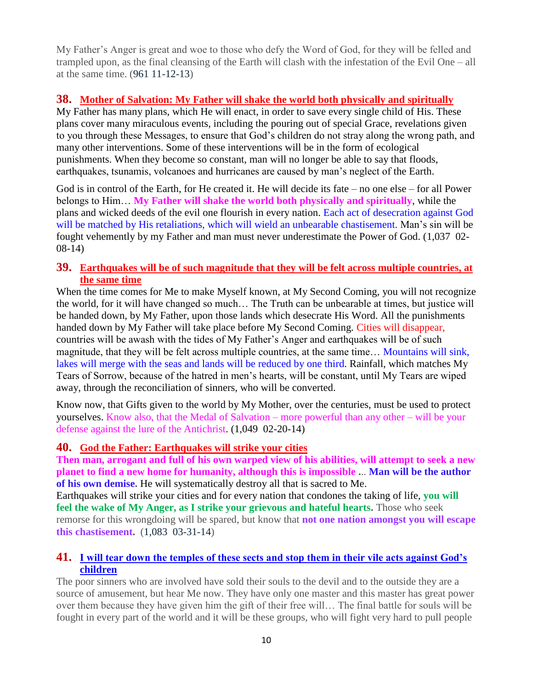My Father's Anger is great and woe to those who defy the Word of God, for they will be felled and trampled upon, as the final cleansing of the Earth will clash with the infestation of the Evil One – all at the same time. (961 11-12-13)

# **38. [Mother of Salvation: My Father will shake the world both physically and spiritually](http://www.thewarningsecondcoming.com/mother-of-salvation-my-father-will-shake-the-world-both-physically-and-spiritually/)**

My Father has many plans, which He will enact, in order to save every single child of His. These plans cover many miraculous events, including the pouring out of special Grace, revelations given to you through these Messages, to ensure that God's children do not stray along the wrong path, and many other interventions. Some of these interventions will be in the form of ecological punishments. When they become so constant, man will no longer be able to say that floods, earthquakes, tsunamis, volcanoes and hurricanes are caused by man's neglect of the Earth.

God is in control of the Earth, for He created it. He will decide its fate – no one else – for all Power belongs to Him… **My Father will shake the world both physically and spiritually**, while the plans and wicked deeds of the evil one flourish in every nation. Each act of desecration against God will be matched by His retaliations, which will wield an unbearable chastisement. Man's sin will be fought vehemently by my Father and man must never underestimate the Power of God. (1,037 02- 08-14)

### **39. [Earthquakes will be of such magnitude that they will be felt across multiple countries, at](http://www.thewarningsecondcoming.com/earthquakes-will-be-of-such-magnitude-that-they-will-be-felt-across-multiple-countries-at-the-same-time/)  [the same time](http://www.thewarningsecondcoming.com/earthquakes-will-be-of-such-magnitude-that-they-will-be-felt-across-multiple-countries-at-the-same-time/)**

When the time comes for Me to make Myself known, at My Second Coming, you will not recognize the world, for it will have changed so much… The Truth can be unbearable at times, but justice will be handed down, by My Father, upon those lands which desecrate His Word. All the punishments handed down by My Father will take place before My Second Coming. Cities will disappear, countries will be awash with the tides of My Father's Anger and earthquakes will be of such magnitude, that they will be felt across multiple countries, at the same time… Mountains will sink, lakes will merge with the seas and lands will be reduced by one third. Rainfall, which matches My Tears of Sorrow, because of the hatred in men's hearts, will be constant, until My Tears are wiped away, through the reconciliation of sinners, who will be converted.

Know now, that Gifts given to the world by My Mother, over the centuries, must be used to protect yourselves. Know also, that the Medal of Salvation – more powerful than any other – will be your defense against the lure of the Antichrist. (1,049 02-20-14)

### **40. [God the Father: Earthquakes will strike your cities](http://www.thewarningsecondcoming.com/god-the-father-earthquakes-will-strike-your-cities/)**

**Then man, arrogant and full of his own warped view of his abilities, will attempt to seek a new planet to find a new home for humanity, although this is impossible .**.. **Man will be the author of his own demise.** He will systematically destroy all that is sacred to Me.

Earthquakes will strike your cities and for every nation that condones the taking of life, **you will feel the wake of My Anger, as I strike your grievous and hateful hearts.** Those who seek remorse for this wrongdoing will be spared, but know that **not one nation amongst you will escape this chastisement.** (1,083 03-31-14)

## **41. [I will tear down the temples of these sects and stop them in their vile acts against God's](http://www.thewarningsecondcoming.com/i-will-tear-down-the-temples-of-these-sects-and-stop-them-in-their-vile-acts-against-gods-children/)  [children](http://www.thewarningsecondcoming.com/i-will-tear-down-the-temples-of-these-sects-and-stop-them-in-their-vile-acts-against-gods-children/)**

The poor sinners who are involved have sold their souls to the devil and to the outside they are a source of amusement, but hear Me now. They have only one master and this master has great power over them because they have given him the gift of their free will… The final battle for souls will be fought in every part of the world and it will be these groups, who will fight very hard to pull people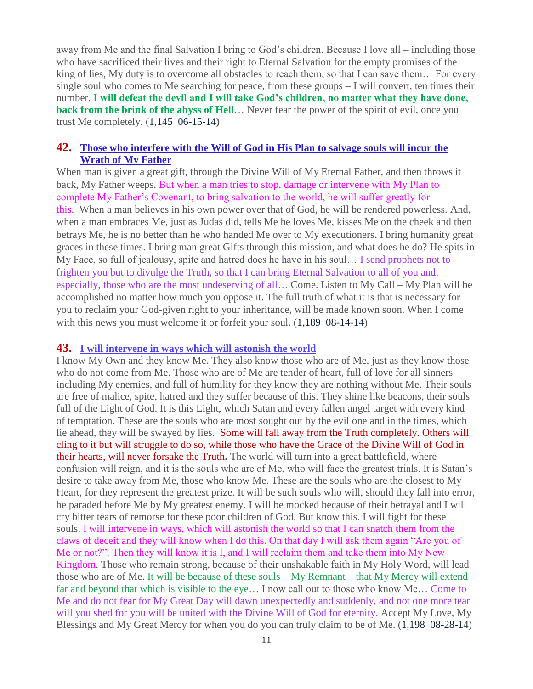away from Me and the final Salvation I bring to God's children. Because I love all – including those who have sacrificed their lives and their right to Eternal Salvation for the empty promises of the king of lies, My duty is to overcome all obstacles to reach them, so that I can save them... For every single soul who comes to Me searching for peace, from these groups – I will convert, ten times their number. **I will defeat the devil and I will take God's children, no matter what they have done, back from the brink of the abyss of Hell**... Never fear the power of the spirit of evil, once you trust Me completely. (1,145 06-15-14**)**

#### **42. [Those who interfere with the Will of God in His Plan to salvage souls will incur the](http://www.thewarningsecondcoming.com/those-who-interfere-with-the-will-of-god-in-his-plan-to-salvage-souls-will-incur-the-wrath-of-my-father/)  [Wrath of My Father](http://www.thewarningsecondcoming.com/those-who-interfere-with-the-will-of-god-in-his-plan-to-salvage-souls-will-incur-the-wrath-of-my-father/)**

When man is given a great gift, through the Divine Will of My Eternal Father, and then throws it back, My Father weeps. But when a man tries to stop, damage or intervene with My Plan to complete My Father's Covenant, to bring salvation to the world, he will suffer greatly for this. When a man believes in his own power over that of God, he will be rendered powerless. And, when a man embraces Me, just as Judas did, tells Me he loves Me, kisses Me on the cheek and then betrays Me, he is no better than he who handed Me over to My executioners**.** I bring humanity great graces in these times. I bring man great Gifts through this mission, and what does he do? He spits in My Face, so full of jealousy, spite and hatred does he have in his soul... I send prophets not to frighten you but to divulge the Truth, so that I can bring Eternal Salvation to all of you and, especially, those who are the most undeserving of all… Come. Listen to My Call – My Plan will be accomplished no matter how much you oppose it. The full truth of what it is that is necessary for you to reclaim your God-given right to your inheritance, will be made known soon. When I come with this news you must welcome it or forfeit your soul.  $(1,189 \ 08-14-14)$ 

#### **43. [I will intervene in ways which will astonish the world](http://www.thewarningsecondcoming.com/i-will-intervene-in-ways-which-will-astonish-the-world/)**

I know My Own and they know Me. They also know those who are of Me, just as they know those who do not come from Me. Those who are of Me are tender of heart, full of love for all sinners including My enemies, and full of humility for they know they are nothing without Me. Their souls are free of malice, spite, hatred and they suffer because of this. They shine like beacons, their souls full of the Light of God. It is this Light, which Satan and every fallen angel target with every kind of temptation. These are the souls who are most sought out by the evil one and in the times, which lie ahead, they will be swayed by lies. Some will fall away from the Truth completely. Others will cling to it but will struggle to do so, while those who have the Grace of the Divine Will of God in their hearts, will never forsake the Truth**.** The world will turn into a great battlefield, where confusion will reign, and it is the souls who are of Me, who will face the greatest trials. It is Satan's desire to take away from Me, those who know Me. These are the souls who are the closest to My Heart, for they represent the greatest prize. It will be such souls who will, should they fall into error, be paraded before Me by My greatest enemy. I will be mocked because of their betrayal and I will cry bitter tears of remorse for these poor children of God. But know this. I will fight for these souls. I will intervene in ways, which will astonish the world so that I can snatch them from the claws of deceit and they will know when I do this. On that day I will ask them again "Are you of Me or not?". Then they will know it is I, and I will reclaim them and take them into My New Kingdom. Those who remain strong, because of their unshakable faith in My Holy Word, will lead those who are of Me. It will be because of these souls – My Remnant – that My Mercy will extend far and beyond that which is visible to the eye… I now call out to those who know Me… Come to Me and do not fear for My Great Day will dawn unexpectedly and suddenly, and not one more tear will you shed for you will be united with the Divine Will of God for eternity. Accept My Love, My Blessings and My Great Mercy for when you do you can truly claim to be of Me. (1,198 08-28-14)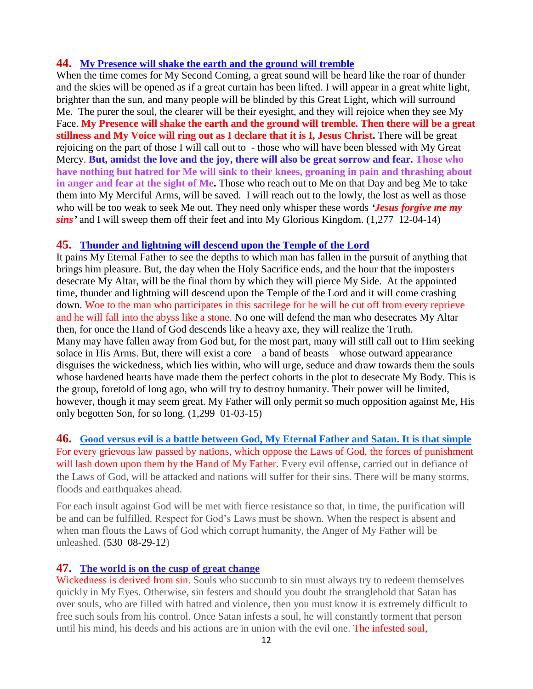### **44. [My Presence will shake the earth and the ground will tremble](http://www.thewarningsecondcoming.com/my-presence-will-shake-the-earth-and-the-ground-will-tremble/)**

When the time comes for My Second Coming, a great sound will be heard like the roar of thunder and the skies will be opened as if a great curtain has been lifted. I will appear in a great white light, brighter than the sun, and many people will be blinded by this Great Light, which will surround Me. The purer the soul, the clearer will be their eyesight, and they will rejoice when they see My Face. **My Presence will shake the earth and the ground will tremble. Then there will be a great**  stillness and My Voice will ring out as I declare that it is I, Jesus Christ. There will be great rejoicing on the part of those I will call out to - those who will have been blessed with My Great Mercy. **But, amidst the love and the joy, there will also be great sorrow and fear. Those who have nothing but hatred for Me will sink to their knees, groaning in pain and thrashing about**  in anger and fear at the sight of Me. Those who reach out to Me on that Day and beg Me to take them into My Merciful Arms, will be saved. I will reach out to the lowly, the lost as well as those who will be too weak to seek Me out. They need only whisper these words *'Jesus forgive me my sins'* and I will sweep them off their feet and into My Glorious Kingdom. (1,277 12-04-14)

#### **45. [Thunder and lightning will descend upon the Temple of the Lord](http://www.thewarningsecondcoming.com/thunder-and-lightning-will-descend-upon-the-temple-of-the-lord/)**

It pains My Eternal Father to see the depths to which man has fallen in the pursuit of anything that brings him pleasure. But, the day when the Holy Sacrifice ends, and the hour that the imposters desecrate My Altar, will be the final thorn by which they will pierce My Side. At the appointed time, thunder and lightning will descend upon the Temple of the Lord and it will come crashing down. Woe to the man who participates in this sacrilege for he will be cut off from every reprieve and he will fall into the abyss like a stone. No one will defend the man who desecrates My Altar then, for once the Hand of God descends like a heavy axe, they will realize the Truth. Many may have fallen away from God but, for the most part, many will still call out to Him seeking solace in His Arms. But, there will exist a core  $-$  a band of beasts  $-$  whose outward appearance disguises the wickedness, which lies within, who will urge, seduce and draw towards them the souls whose hardened hearts have made them the perfect cohorts in the plot to desecrate My Body. This is the group, foretold of long ago, who will try to destroy humanity. Their power will be limited, however, though it may seem great. My Father will only permit so much opposition against Me, His only begotten Son, for so long. (1,299 01-03-15)

### **46. [Good versus evil is a battle between God, My Eternal Father and Satan. It is that simple](http://www.thewarningsecondcoming.com/good-versus-evil-is-a-battle-between-god-my-eternal-father-and-satan-it-is-that-simple/)** For every grievous law passed by nations, which oppose the Laws of God, the forces of punishment will lash down upon them by the Hand of My Father. Every evil offense, carried out in defiance of the Laws of God, will be attacked and nations will suffer for their sins. There will be many storms, floods and earthquakes ahead.

For each insult against God will be met with fierce resistance so that, in time, the purification will be and can be fulfilled. Respect for God's Laws must be shown. When the respect is absent and when man flouts the Laws of God which corrupt humanity, the Anger of My Father will be unleashed. (530 08-29-12)

### **47. [The world is on the cusp of great change](http://www.thewarningsecondcoming.com/the-world-is-on-the-cusp-of-great-change/)**

Wickedness is derived from sin. Souls who succumb to sin must always try to redeem themselves quickly in My Eyes. Otherwise, sin festers and should you doubt the stranglehold that Satan has over souls, who are filled with hatred and violence, then you must know it is extremely difficult to free such souls from his control. Once Satan infests a soul, he will constantly torment that person until his mind, his deeds and his actions are in union with the evil one. The infested soul,